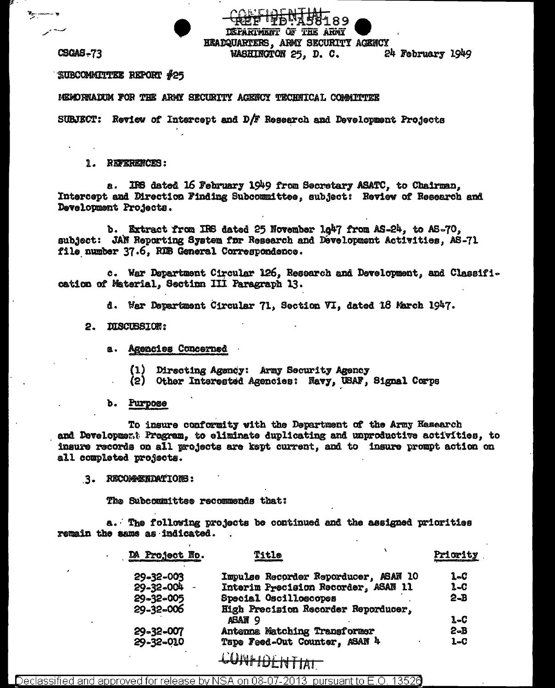**CSCAS-73** 

 $\mathbf{v}_2$  .

SUBCOMMITTEE REPORT #25

MEMORNADUM FOR THE ARMY SECURITY AGENCY TECHNICAL COMMITTEE

SUBJECT: Review of Intercept and D/F Research and Development Projects

1. REFERENCES:

IRS dated 16 February 1949 from Secretary ASATC, to Chairman, **a.** Intercept and Direction Finding Subcommittee, subject: Review of Research and Development Projects.

<u>ተጀመረ ለቅሥነ</u>ጃ ቀ

DEPARTMENT OF THE ARMY **HEADQUARTERS, ARMY SECURITY AGENCY** 

WASHINGTON 25, D. C.

ሻ189

24 February 1949

b. Extract from IRS dated 25 November 1g47 from AS-24, to AS-70, subject: JAN Reporting System for Research and Development Activities, AS-71 file number 37.6, RDB General Correspondence.

c. War Department Circular 126, Research and Development, and Classification of Material, Section III Paragraph 13.

d. War Department Circular 71, Section VI, dated 18 March 1947.

2. DISCUBSION:

a. Agencies Concerned

Directing Agency: Army Security Agency  $(1)$ 

(2) Other Interested Agencies: Navy, USAF, Signal Corps

b. Purpose

To insure conformity with the Department of the Army Hasearch and Development Program, to eliminate duplicating and unproductive activities, to insure records on all projects are kept current, and to insure prompt action on all completed projects.

3. RECOMMENDATIONS:

The Subcommittee recommends that:

a. The following projects be continued and the assigned priorities remain the same as indicated.

| DA Project No. | Title                                                           | Priority |
|----------------|-----------------------------------------------------------------|----------|
| 29-32-003      | Impulse Recorder Reporducer, ASAN 10                            | 1-C      |
| 29-32-004 -    | Interim Precision Recorder, ASAN 11                             | 1-C      |
| 29-32-005      | Special Oscilloscopes                                           | $2 - B$  |
| 29-32-006      | High Precision Recorder Reporducer,                             |          |
|                | ABAN 9                                                          | $1 - C$  |
| 29-32-007      | Antenna Matching Transformer                                    | 2-B      |
| 29-32-010      | Tape Feed-Out Counter, ASAN 4                                   | $1 - C$  |
|                | $\mathbf{A}$ . The set of $\mathbf{A}$ is a set of $\mathbf{A}$ |          |

## CONFIDENTIAL

Declassified and approved for release by NSA on 08-07-2013  $\,$  pursuant to E.O. 13526  $\,$